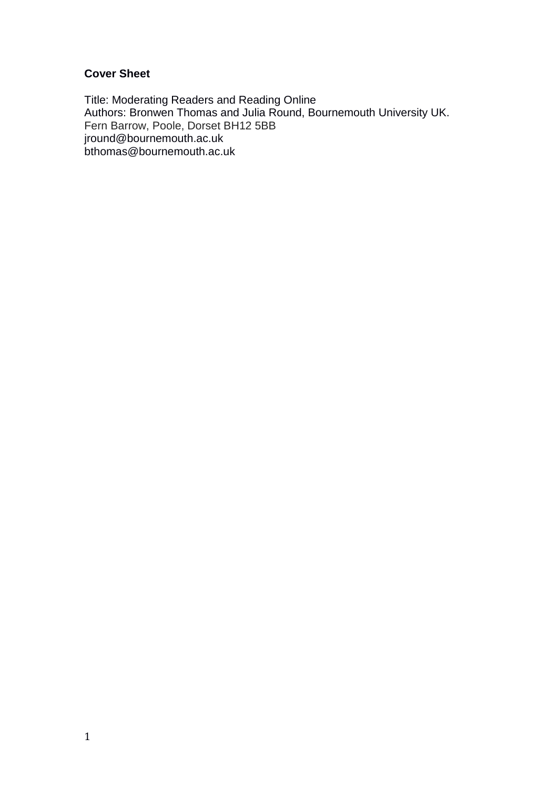# **Cover Sheet**

Title: Moderating Readers and Reading Online Authors: Bronwen Thomas and Julia Round, Bournemouth University UK. Fern Barrow, Poole, Dorset BH12 5BB jround@bournemouth.ac.uk bthomas@bournemouth.ac.uk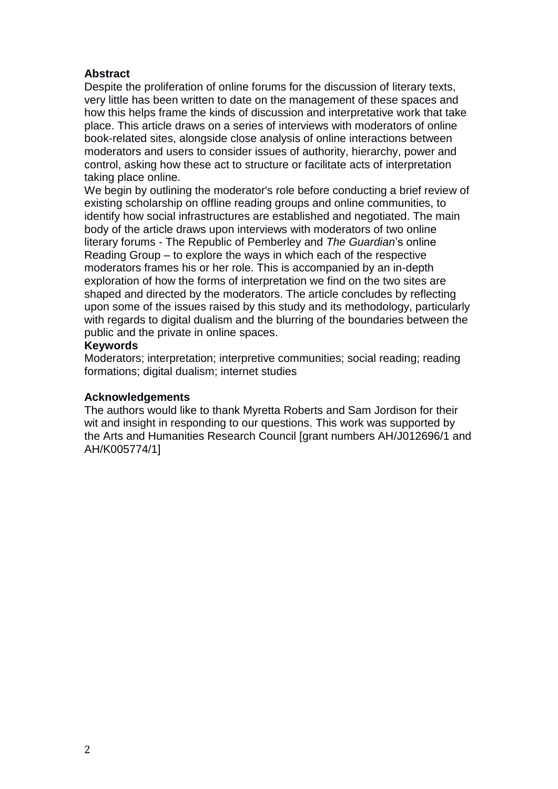## **Abstract**

Despite the proliferation of online forums for the discussion of literary texts, very little has been written to date on the management of these spaces and how this helps frame the kinds of discussion and interpretative work that take place. This article draws on a series of interviews with moderators of online book-related sites, alongside close analysis of online interactions between moderators and users to consider issues of authority, hierarchy, power and control, asking how these act to structure or facilitate acts of interpretation taking place online.

We begin by outlining the moderator's role before conducting a brief review of existing scholarship on offline reading groups and online communities, to identify how social infrastructures are established and negotiated. The main body of the article draws upon interviews with moderators of two online literary forums - The Republic of Pemberley and *The Guardian*'s online Reading Group – to explore the ways in which each of the respective moderators frames his or her role. This is accompanied by an in-depth exploration of how the forms of interpretation we find on the two sites are shaped and directed by the moderators. The article concludes by reflecting upon some of the issues raised by this study and its methodology, particularly with regards to digital dualism and the blurring of the boundaries between the public and the private in online spaces.

## **Keywords**

Moderators; interpretation; interpretive communities; social reading; reading formations; digital dualism; internet studies

## **Acknowledgements**

The authors would like to thank Myretta Roberts and Sam Jordison for their wit and insight in responding to our questions. This work was supported by the Arts and Humanities Research Council [grant numbers AH/J012696/1 and AH/K005774/1]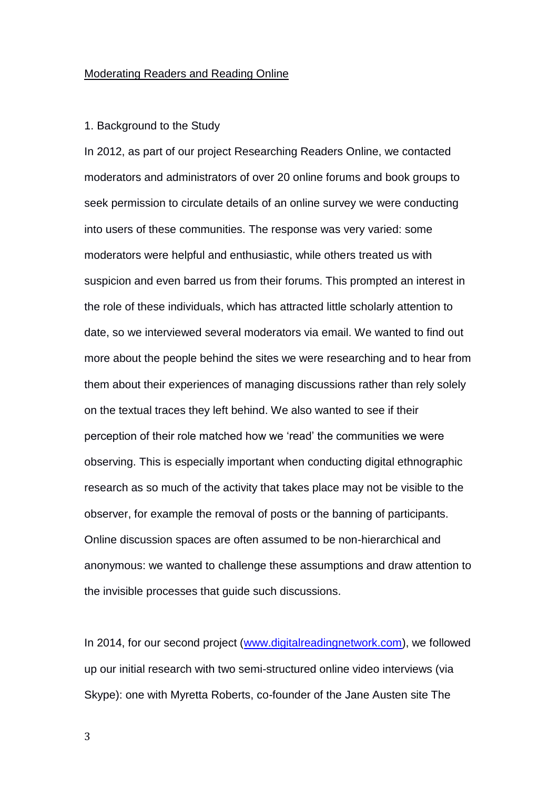#### Moderating Readers and Reading Online

#### 1. Background to the Study

In 2012, as part of our project Researching Readers Online, we contacted moderators and administrators of over 20 online forums and book groups to seek permission to circulate details of an online survey we were conducting into users of these communities. The response was very varied: some moderators were helpful and enthusiastic, while others treated us with suspicion and even barred us from their forums. This prompted an interest in the role of these individuals, which has attracted little scholarly attention to date, so we interviewed several moderators via email. We wanted to find out more about the people behind the sites we were researching and to hear from them about their experiences of managing discussions rather than rely solely on the textual traces they left behind. We also wanted to see if their perception of their role matched how we 'read' the communities we were observing. This is especially important when conducting digital ethnographic research as so much of the activity that takes place may not be visible to the observer, for example the removal of posts or the banning of participants. Online discussion spaces are often assumed to be non-hierarchical and anonymous: we wanted to challenge these assumptions and draw attention to the invisible processes that guide such discussions.

In 2014, for our second project [\(www.digitalreadingnetwork.com\)](http://www.digitalreadingnetwork.com/), we followed up our initial research with two semi-structured online video interviews (via Skype): one with Myretta Roberts, co-founder of the Jane Austen site The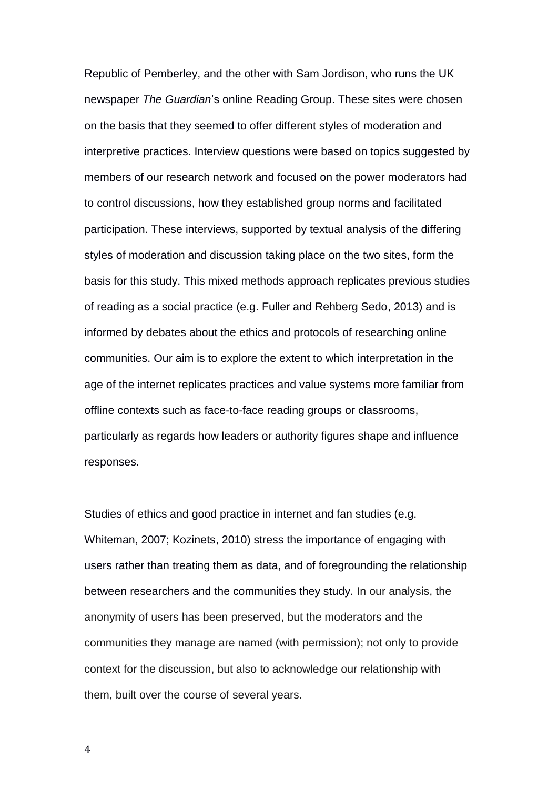Republic of Pemberley, and the other with Sam Jordison, who runs the UK newspaper *The Guardian*'s online Reading Group. These sites were chosen on the basis that they seemed to offer different styles of moderation and interpretive practices. Interview questions were based on topics suggested by members of our research network and focused on the power moderators had to control discussions, how they established group norms and facilitated participation. These interviews, supported by textual analysis of the differing styles of moderation and discussion taking place on the two sites, form the basis for this study. This mixed methods approach replicates previous studies of reading as a social practice (e.g. Fuller and Rehberg Sedo, 2013) and is informed by debates about the ethics and protocols of researching online communities. Our aim is to explore the extent to which interpretation in the age of the internet replicates practices and value systems more familiar from offline contexts such as face-to-face reading groups or classrooms, particularly as regards how leaders or authority figures shape and influence responses.

Studies of ethics and good practice in internet and fan studies (e.g. Whiteman, 2007; Kozinets, 2010) stress the importance of engaging with users rather than treating them as data, and of foregrounding the relationship between researchers and the communities they study. In our analysis, the anonymity of users has been preserved, but the moderators and the communities they manage are named (with permission); not only to provide context for the discussion, but also to acknowledge our relationship with them, built over the course of several years.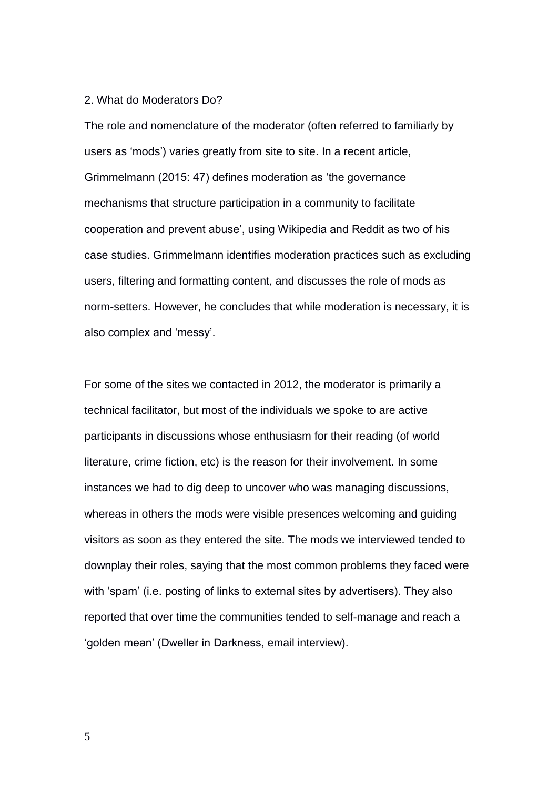#### 2. What do Moderators Do?

The role and nomenclature of the moderator (often referred to familiarly by users as 'mods') varies greatly from site to site. In a recent article, Grimmelmann (2015: 47) defines moderation as 'the governance mechanisms that structure participation in a community to facilitate cooperation and prevent abuse', using Wikipedia and Reddit as two of his case studies. Grimmelmann identifies moderation practices such as excluding users, filtering and formatting content, and discusses the role of mods as norm-setters. However, he concludes that while moderation is necessary, it is also complex and 'messy'.

For some of the sites we contacted in 2012, the moderator is primarily a technical facilitator, but most of the individuals we spoke to are active participants in discussions whose enthusiasm for their reading (of world literature, crime fiction, etc) is the reason for their involvement. In some instances we had to dig deep to uncover who was managing discussions, whereas in others the mods were visible presences welcoming and guiding visitors as soon as they entered the site. The mods we interviewed tended to downplay their roles, saying that the most common problems they faced were with 'spam' (i.e. posting of links to external sites by advertisers). They also reported that over time the communities tended to self-manage and reach a 'golden mean' (Dweller in Darkness, email interview).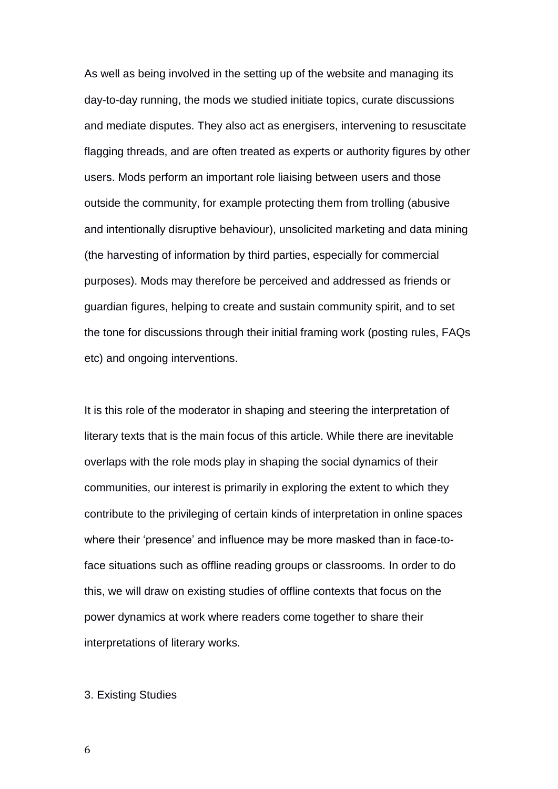As well as being involved in the setting up of the website and managing its day-to-day running, the mods we studied initiate topics, curate discussions and mediate disputes. They also act as energisers, intervening to resuscitate flagging threads, and are often treated as experts or authority figures by other users. Mods perform an important role liaising between users and those outside the community, for example protecting them from trolling (abusive and intentionally disruptive behaviour), unsolicited marketing and data mining (the harvesting of information by third parties, especially for commercial purposes). Mods may therefore be perceived and addressed as friends or guardian figures, helping to create and sustain community spirit, and to set the tone for discussions through their initial framing work (posting rules, FAQs etc) and ongoing interventions.

It is this role of the moderator in shaping and steering the interpretation of literary texts that is the main focus of this article. While there are inevitable overlaps with the role mods play in shaping the social dynamics of their communities, our interest is primarily in exploring the extent to which they contribute to the privileging of certain kinds of interpretation in online spaces where their 'presence' and influence may be more masked than in face-toface situations such as offline reading groups or classrooms. In order to do this, we will draw on existing studies of offline contexts that focus on the power dynamics at work where readers come together to share their interpretations of literary works.

### 3. Existing Studies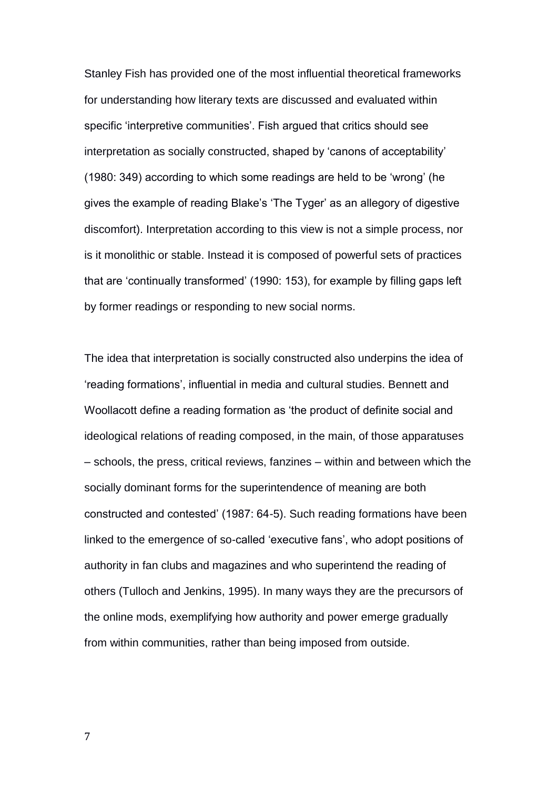Stanley Fish has provided one of the most influential theoretical frameworks for understanding how literary texts are discussed and evaluated within specific 'interpretive communities'. Fish argued that critics should see interpretation as socially constructed, shaped by 'canons of acceptability' (1980: 349) according to which some readings are held to be 'wrong' (he gives the example of reading Blake's 'The Tyger' as an allegory of digestive discomfort). Interpretation according to this view is not a simple process, nor is it monolithic or stable. Instead it is composed of powerful sets of practices that are 'continually transformed' (1990: 153), for example by filling gaps left by former readings or responding to new social norms.

The idea that interpretation is socially constructed also underpins the idea of 'reading formations', influential in media and cultural studies. Bennett and Woollacott define a reading formation as 'the product of definite social and ideological relations of reading composed, in the main, of those apparatuses – schools, the press, critical reviews, fanzines – within and between which the socially dominant forms for the superintendence of meaning are both constructed and contested' (1987: 64-5). Such reading formations have been linked to the emergence of so-called 'executive fans', who adopt positions of authority in fan clubs and magazines and who superintend the reading of others (Tulloch and Jenkins, 1995). In many ways they are the precursors of the online mods, exemplifying how authority and power emerge gradually from within communities, rather than being imposed from outside.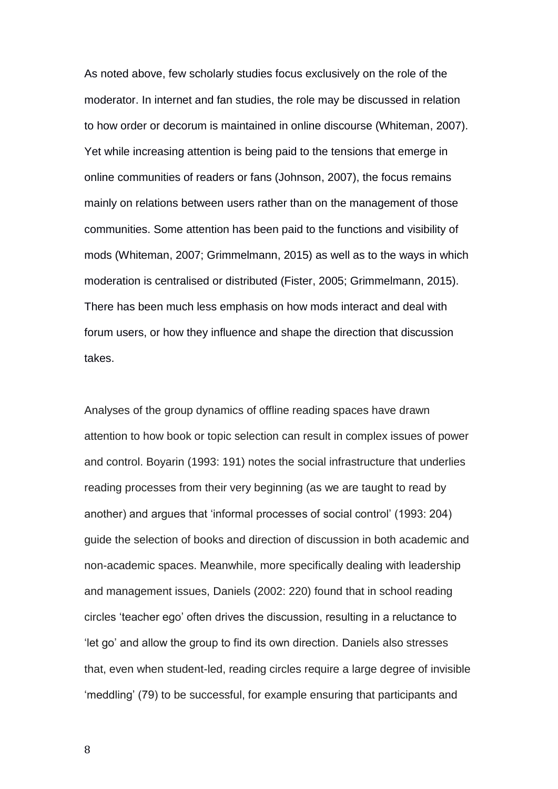As noted above, few scholarly studies focus exclusively on the role of the moderator. In internet and fan studies, the role may be discussed in relation to how order or decorum is maintained in online discourse (Whiteman, 2007). Yet while increasing attention is being paid to the tensions that emerge in online communities of readers or fans (Johnson, 2007), the focus remains mainly on relations between users rather than on the management of those communities. Some attention has been paid to the functions and visibility of mods (Whiteman, 2007; Grimmelmann, 2015) as well as to the ways in which moderation is centralised or distributed (Fister, 2005; Grimmelmann, 2015). There has been much less emphasis on how mods interact and deal with forum users, or how they influence and shape the direction that discussion takes.

Analyses of the group dynamics of offline reading spaces have drawn attention to how book or topic selection can result in complex issues of power and control. Boyarin (1993: 191) notes the social infrastructure that underlies reading processes from their very beginning (as we are taught to read by another) and argues that 'informal processes of social control' (1993: 204) guide the selection of books and direction of discussion in both academic and non-academic spaces. Meanwhile, more specifically dealing with leadership and management issues, Daniels (2002: 220) found that in school reading circles 'teacher ego' often drives the discussion, resulting in a reluctance to 'let go' and allow the group to find its own direction. Daniels also stresses that, even when student-led, reading circles require a large degree of invisible 'meddling' (79) to be successful, for example ensuring that participants and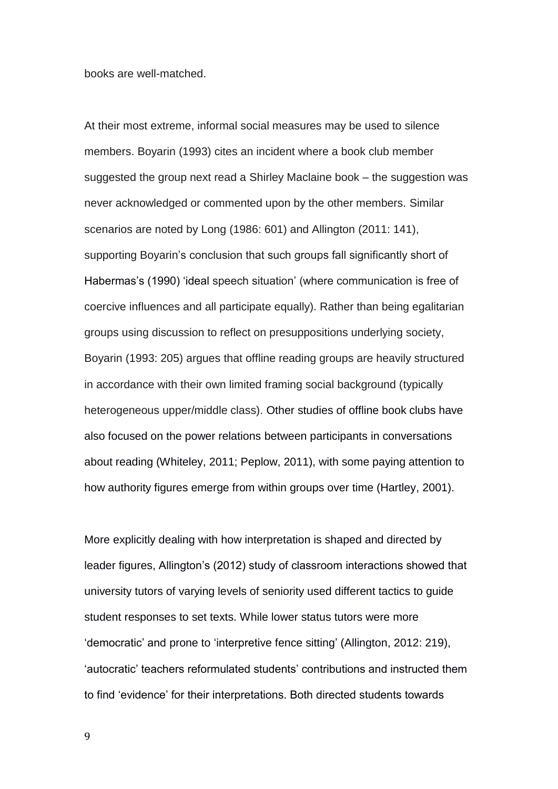books are well-matched.

At their most extreme, informal social measures may be used to silence members. Boyarin (1993) cites an incident where a book club member suggested the group next read a Shirley Maclaine book – the suggestion was never acknowledged or commented upon by the other members. Similar scenarios are noted by Long (1986: 601) and Allington (2011: 141), supporting Boyarin's conclusion that such groups fall significantly short of Habermas's (1990) 'ideal speech situation' (where communication is free of coercive influences and all participate equally). Rather than being egalitarian groups using discussion to reflect on presuppositions underlying society, Boyarin (1993: 205) argues that offline reading groups are heavily structured in accordance with their own limited framing social background (typically heterogeneous upper/middle class). Other studies of offline book clubs have also focused on the power relations between participants in conversations about reading (Whiteley, 2011; Peplow, 2011), with some paying attention to how authority figures emerge from within groups over time (Hartley, 2001).

More explicitly dealing with how interpretation is shaped and directed by leader figures, Allington's (2012) study of classroom interactions showed that university tutors of varying levels of seniority used different tactics to guide student responses to set texts. While lower status tutors were more 'democratic' and prone to 'interpretive fence sitting' (Allington, 2012: 219), 'autocratic' teachers reformulated students' contributions and instructed them to find 'evidence' for their interpretations. Both directed students towards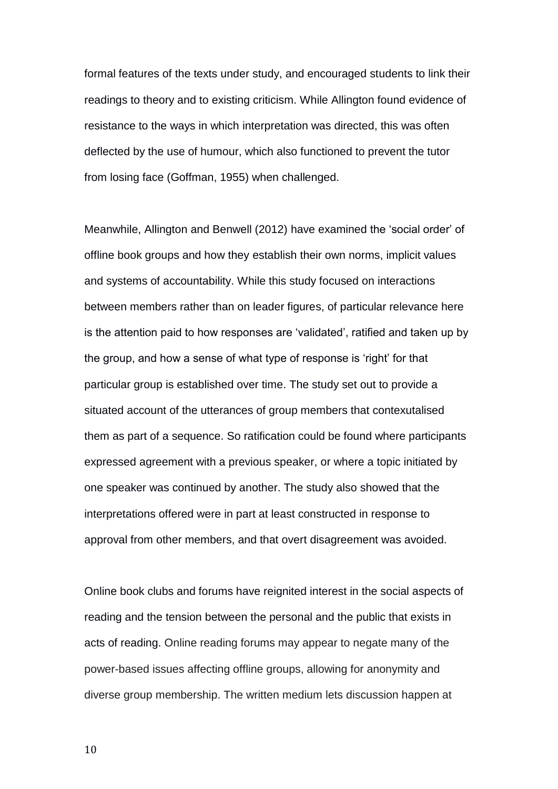formal features of the texts under study, and encouraged students to link their readings to theory and to existing criticism. While Allington found evidence of resistance to the ways in which interpretation was directed, this was often deflected by the use of humour, which also functioned to prevent the tutor from losing face (Goffman, 1955) when challenged.

Meanwhile, Allington and Benwell (2012) have examined the 'social order' of offline book groups and how they establish their own norms, implicit values and systems of accountability. While this study focused on interactions between members rather than on leader figures, of particular relevance here is the attention paid to how responses are 'validated', ratified and taken up by the group, and how a sense of what type of response is 'right' for that particular group is established over time. The study set out to provide a situated account of the utterances of group members that contexutalised them as part of a sequence. So ratification could be found where participants expressed agreement with a previous speaker, or where a topic initiated by one speaker was continued by another. The study also showed that the interpretations offered were in part at least constructed in response to approval from other members, and that overt disagreement was avoided.

Online book clubs and forums have reignited interest in the social aspects of reading and the tension between the personal and the public that exists in acts of reading. Online reading forums may appear to negate many of the power-based issues affecting offline groups, allowing for anonymity and diverse group membership. The written medium lets discussion happen at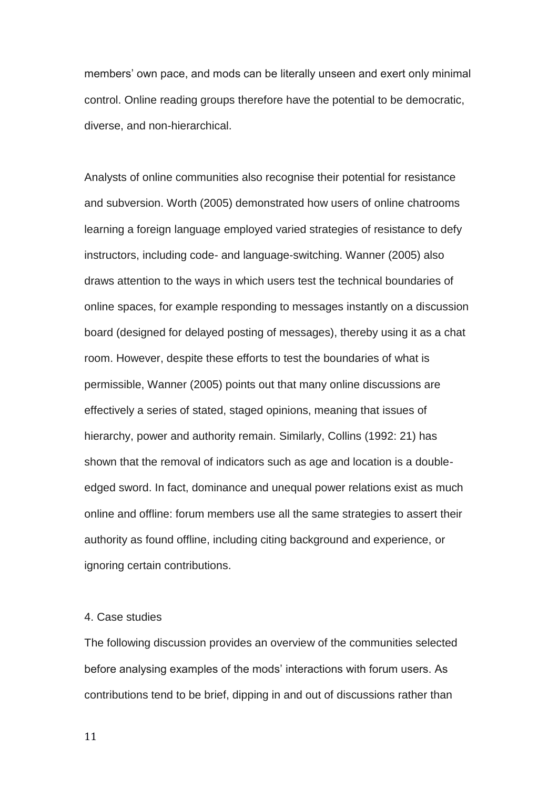members' own pace, and mods can be literally unseen and exert only minimal control. Online reading groups therefore have the potential to be democratic, diverse, and non-hierarchical.

Analysts of online communities also recognise their potential for resistance and subversion. Worth (2005) demonstrated how users of online chatrooms learning a foreign language employed varied strategies of resistance to defy instructors, including code- and language-switching. Wanner (2005) also draws attention to the ways in which users test the technical boundaries of online spaces, for example responding to messages instantly on a discussion board (designed for delayed posting of messages), thereby using it as a chat room. However, despite these efforts to test the boundaries of what is permissible, Wanner (2005) points out that many online discussions are effectively a series of stated, staged opinions, meaning that issues of hierarchy, power and authority remain. Similarly, Collins (1992: 21) has shown that the removal of indicators such as age and location is a doubleedged sword. In fact, dominance and unequal power relations exist as much online and offline: forum members use all the same strategies to assert their authority as found offline, including citing background and experience, or ignoring certain contributions.

## 4. Case studies

The following discussion provides an overview of the communities selected before analysing examples of the mods' interactions with forum users. As contributions tend to be brief, dipping in and out of discussions rather than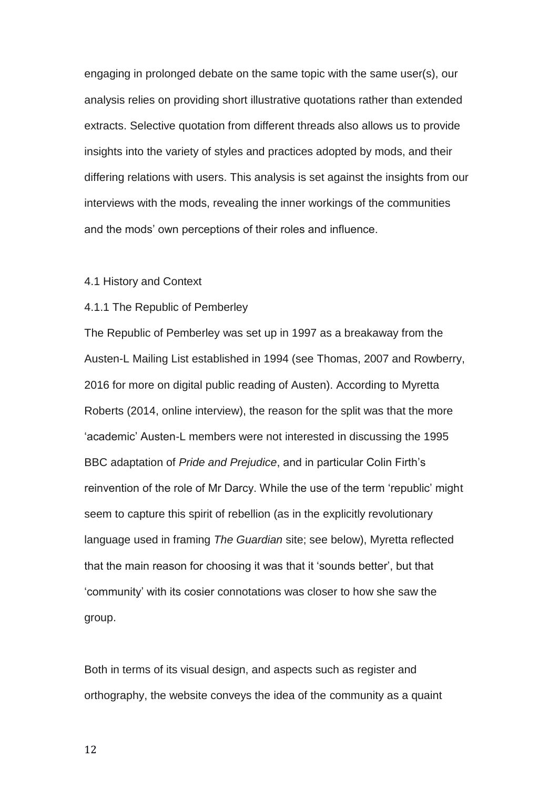engaging in prolonged debate on the same topic with the same user(s), our analysis relies on providing short illustrative quotations rather than extended extracts. Selective quotation from different threads also allows us to provide insights into the variety of styles and practices adopted by mods, and their differing relations with users. This analysis is set against the insights from our interviews with the mods, revealing the inner workings of the communities and the mods' own perceptions of their roles and influence.

## 4.1 History and Context

#### 4.1.1 The Republic of Pemberley

The Republic of Pemberley was set up in 1997 as a breakaway from the Austen-L Mailing List established in 1994 (see Thomas, 2007 and Rowberry, 2016 for more on digital public reading of Austen). According to Myretta Roberts (2014, online interview), the reason for the split was that the more 'academic' Austen-L members were not interested in discussing the 1995 BBC adaptation of *Pride and Prejudice*, and in particular Colin Firth's reinvention of the role of Mr Darcy. While the use of the term 'republic' might seem to capture this spirit of rebellion (as in the explicitly revolutionary language used in framing *The Guardian* site; see below), Myretta reflected that the main reason for choosing it was that it 'sounds better', but that 'community' with its cosier connotations was closer to how she saw the group.

Both in terms of its visual design, and aspects such as register and orthography, the website conveys the idea of the community as a quaint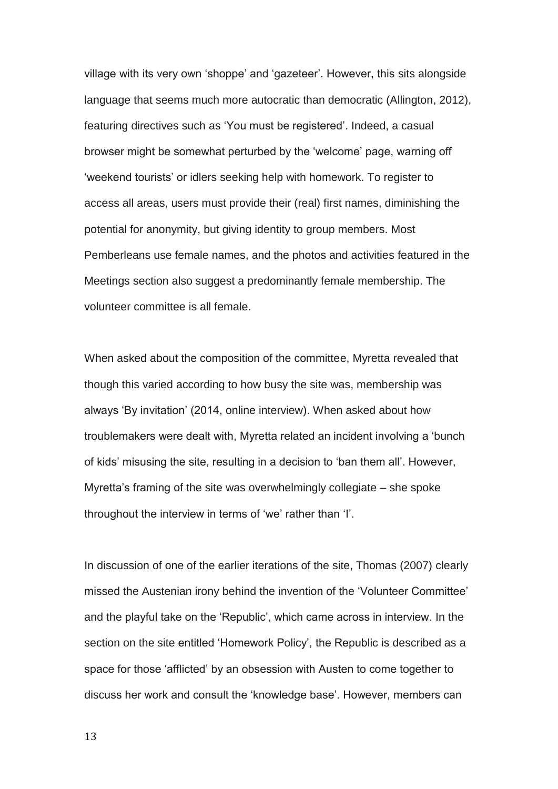village with its very own 'shoppe' and 'gazeteer'. However, this sits alongside language that seems much more autocratic than democratic (Allington, 2012), featuring directives such as 'You must be registered'. Indeed, a casual browser might be somewhat perturbed by the 'welcome' page, warning off 'weekend tourists' or idlers seeking help with homework. To register to access all areas, users must provide their (real) first names, diminishing the potential for anonymity, but giving identity to group members. Most Pemberleans use female names, and the photos and activities featured in the Meetings section also suggest a predominantly female membership. The volunteer committee is all female.

When asked about the composition of the committee, Myretta revealed that though this varied according to how busy the site was, membership was always 'By invitation' (2014, online interview). When asked about how troublemakers were dealt with, Myretta related an incident involving a 'bunch of kids' misusing the site, resulting in a decision to 'ban them all'. However, Myretta's framing of the site was overwhelmingly collegiate – she spoke throughout the interview in terms of 'we' rather than 'I'.

In discussion of one of the earlier iterations of the site, Thomas (2007) clearly missed the Austenian irony behind the invention of the 'Volunteer Committee' and the playful take on the 'Republic', which came across in interview. In the section on the site entitled 'Homework Policy', the Republic is described as a space for those 'afflicted' by an obsession with Austen to come together to discuss her work and consult the 'knowledge base'. However, members can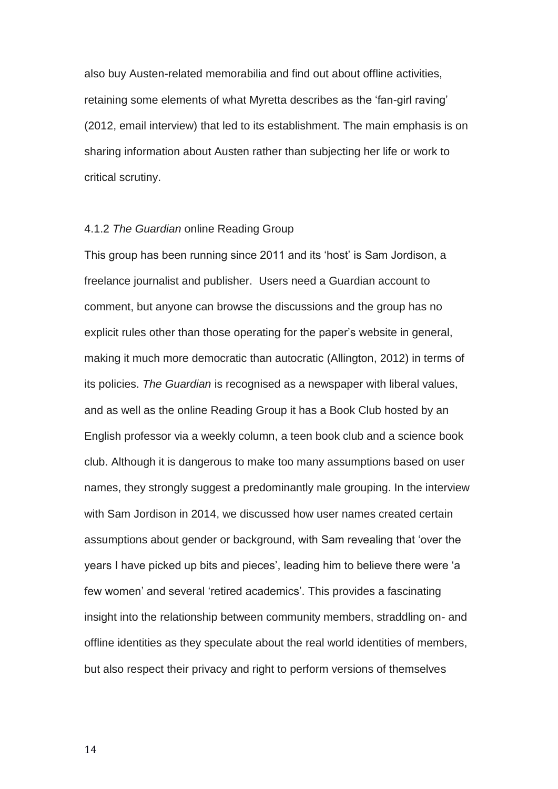also buy Austen-related memorabilia and find out about offline activities, retaining some elements of what Myretta describes as the 'fan-girl raving' (2012, email interview) that led to its establishment. The main emphasis is on sharing information about Austen rather than subjecting her life or work to critical scrutiny.

#### 4.1.2 *The Guardian* online Reading Group

This group has been running since 2011 and its 'host' is Sam Jordison, a freelance journalist and publisher. Users need a Guardian account to comment, but anyone can browse the discussions and the group has no explicit rules other than those operating for the paper's website in general, making it much more democratic than autocratic (Allington, 2012) in terms of its policies. *The Guardian* is recognised as a newspaper with liberal values, and as well as the online Reading Group it has a Book Club hosted by an English professor via a weekly column, a teen book club and a science book club. Although it is dangerous to make too many assumptions based on user names, they strongly suggest a predominantly male grouping. In the interview with Sam Jordison in 2014, we discussed how user names created certain assumptions about gender or background, with Sam revealing that 'over the years I have picked up bits and pieces', leading him to believe there were 'a few women' and several 'retired academics'. This provides a fascinating insight into the relationship between community members, straddling on- and offline identities as they speculate about the real world identities of members, but also respect their privacy and right to perform versions of themselves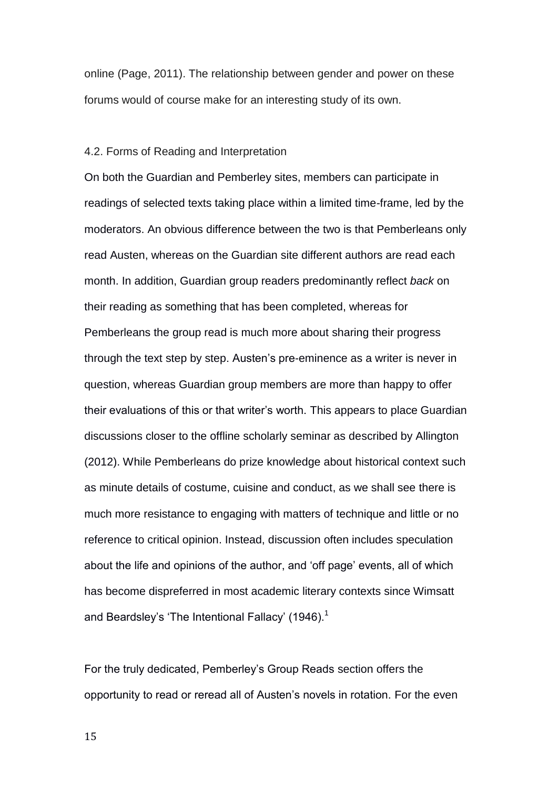online (Page, 2011). The relationship between gender and power on these forums would of course make for an interesting study of its own.

## 4.2. Forms of Reading and Interpretation

On both the Guardian and Pemberley sites, members can participate in readings of selected texts taking place within a limited time-frame, led by the moderators. An obvious difference between the two is that Pemberleans only read Austen, whereas on the Guardian site different authors are read each month. In addition, Guardian group readers predominantly reflect *back* on their reading as something that has been completed, whereas for Pemberleans the group read is much more about sharing their progress through the text step by step. Austen's pre-eminence as a writer is never in question, whereas Guardian group members are more than happy to offer their evaluations of this or that writer's worth. This appears to place Guardian discussions closer to the offline scholarly seminar as described by Allington (2012). While Pemberleans do prize knowledge about historical context such as minute details of costume, cuisine and conduct, as we shall see there is much more resistance to engaging with matters of technique and little or no reference to critical opinion. Instead, discussion often includes speculation about the life and opinions of the author, and 'off page' events, all of which has become dispreferred in most academic literary contexts since Wimsatt and Beardsley's 'The Intentional Fallacy' (1946).<sup>1</sup>

For the truly dedicated, Pemberley's Group Reads section offers the opportunity to read or reread all of Austen's novels in rotation. For the even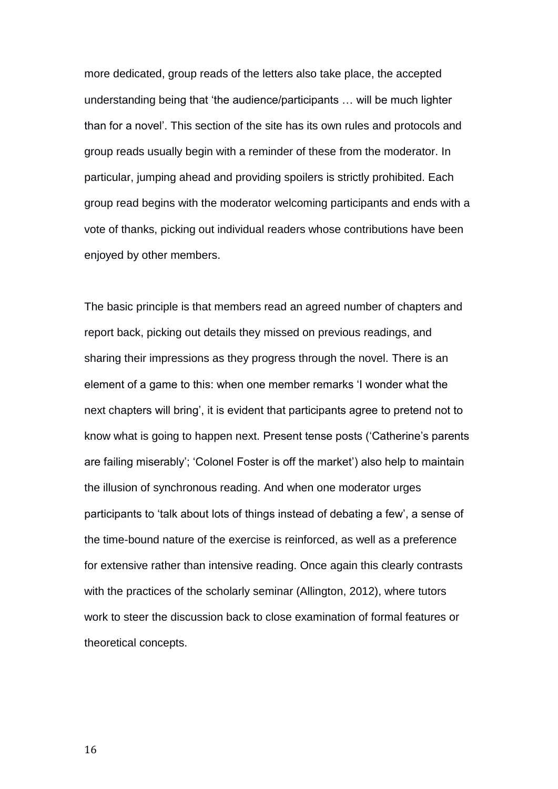more dedicated, group reads of the letters also take place, the accepted understanding being that 'the audience/participants … will be much lighter than for a novel'. This section of the site has its own rules and protocols and group reads usually begin with a reminder of these from the moderator. In particular, jumping ahead and providing spoilers is strictly prohibited. Each group read begins with the moderator welcoming participants and ends with a vote of thanks, picking out individual readers whose contributions have been enjoyed by other members.

The basic principle is that members read an agreed number of chapters and report back, picking out details they missed on previous readings, and sharing their impressions as they progress through the novel. There is an element of a game to this: when one member remarks 'I wonder what the next chapters will bring', it is evident that participants agree to pretend not to know what is going to happen next. Present tense posts ('Catherine's parents are failing miserably'; 'Colonel Foster is off the market') also help to maintain the illusion of synchronous reading. And when one moderator urges participants to 'talk about lots of things instead of debating a few', a sense of the time-bound nature of the exercise is reinforced, as well as a preference for extensive rather than intensive reading. Once again this clearly contrasts with the practices of the scholarly seminar (Allington, 2012), where tutors work to steer the discussion back to close examination of formal features or theoretical concepts.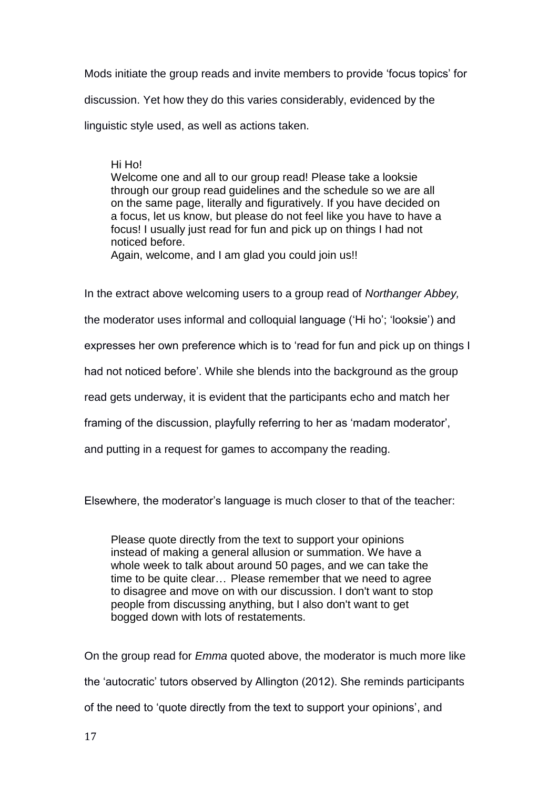Mods initiate the group reads and invite members to provide 'focus topics' for discussion. Yet how they do this varies considerably, evidenced by the linguistic style used, as well as actions taken.

### Hi Ho!

Welcome one and all to our group read! Please take a looksie through our group read guidelines and the schedule so we are all on the same page, literally and figuratively. If you have decided on a focus, let us know, but please do not feel like you have to have a focus! I usually just read for fun and pick up on things I had not noticed before.

Again, welcome, and I am glad you could join us!!

In the extract above welcoming users to a group read of *Northanger Abbey,*

the moderator uses informal and colloquial language ('Hi ho'; 'looksie') and

expresses her own preference which is to 'read for fun and pick up on things I

had not noticed before'. While she blends into the background as the group

read gets underway, it is evident that the participants echo and match her

framing of the discussion, playfully referring to her as 'madam moderator',

and putting in a request for games to accompany the reading.

Elsewhere, the moderator's language is much closer to that of the teacher:

Please quote directly from the text to support your opinions instead of making a general allusion or summation. We have a whole week to talk about around 50 pages, and we can take the time to be quite clear… Please remember that we need to agree to disagree and move on with our discussion. I don't want to stop people from discussing anything, but I also don't want to get bogged down with lots of restatements.

On the group read for *Emma* quoted above, the moderator is much more like the 'autocratic' tutors observed by Allington (2012). She reminds participants of the need to 'quote directly from the text to support your opinions', and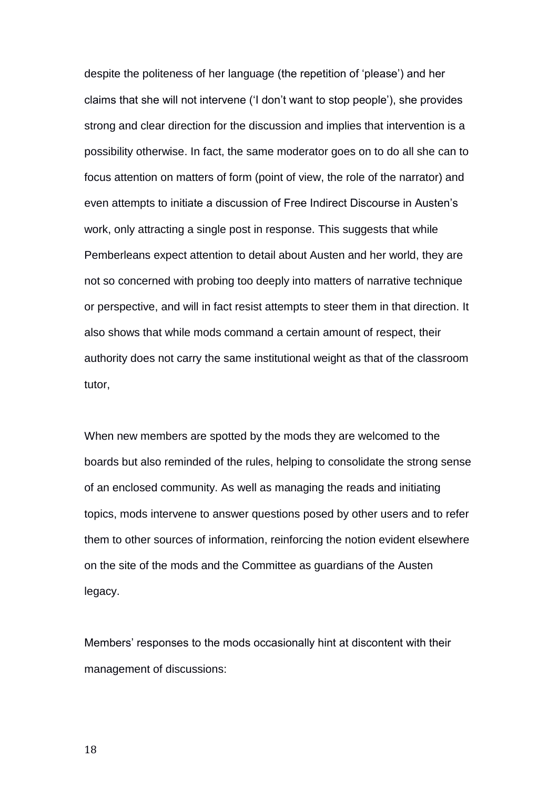despite the politeness of her language (the repetition of 'please') and her claims that she will not intervene ('I don't want to stop people'), she provides strong and clear direction for the discussion and implies that intervention is a possibility otherwise. In fact, the same moderator goes on to do all she can to focus attention on matters of form (point of view, the role of the narrator) and even attempts to initiate a discussion of Free Indirect Discourse in Austen's work, only attracting a single post in response. This suggests that while Pemberleans expect attention to detail about Austen and her world, they are not so concerned with probing too deeply into matters of narrative technique or perspective, and will in fact resist attempts to steer them in that direction. It also shows that while mods command a certain amount of respect, their authority does not carry the same institutional weight as that of the classroom tutor,

When new members are spotted by the mods they are welcomed to the boards but also reminded of the rules, helping to consolidate the strong sense of an enclosed community. As well as managing the reads and initiating topics, mods intervene to answer questions posed by other users and to refer them to other sources of information, reinforcing the notion evident elsewhere on the site of the mods and the Committee as guardians of the Austen legacy.

Members' responses to the mods occasionally hint at discontent with their management of discussions: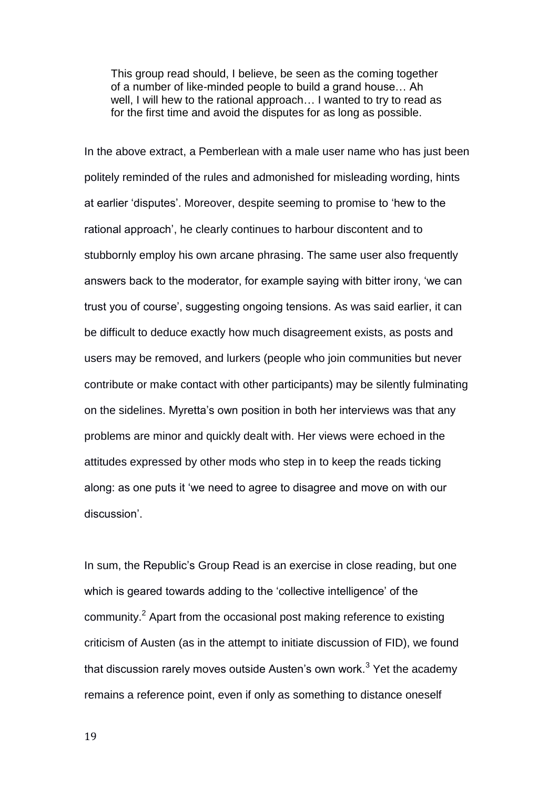This group read should, I believe, be seen as the coming together of a number of like-minded people to build a grand house… Ah well, I will hew to the rational approach… I wanted to try to read as for the first time and avoid the disputes for as long as possible.

In the above extract, a Pemberlean with a male user name who has just been politely reminded of the rules and admonished for misleading wording, hints at earlier 'disputes'. Moreover, despite seeming to promise to 'hew to the rational approach', he clearly continues to harbour discontent and to stubbornly employ his own arcane phrasing. The same user also frequently answers back to the moderator, for example saying with bitter irony, 'we can trust you of course', suggesting ongoing tensions. As was said earlier, it can be difficult to deduce exactly how much disagreement exists, as posts and users may be removed, and lurkers (people who join communities but never contribute or make contact with other participants) may be silently fulminating on the sidelines. Myretta's own position in both her interviews was that any problems are minor and quickly dealt with. Her views were echoed in the attitudes expressed by other mods who step in to keep the reads ticking along: as one puts it 'we need to agree to disagree and move on with our discussion'.

In sum, the Republic's Group Read is an exercise in close reading, but one which is geared towards adding to the 'collective intelligence' of the community.<sup>2</sup> Apart from the occasional post making reference to existing criticism of Austen (as in the attempt to initiate discussion of FID), we found that discussion rarely moves outside Austen's own work. $3$  Yet the academy remains a reference point, even if only as something to distance oneself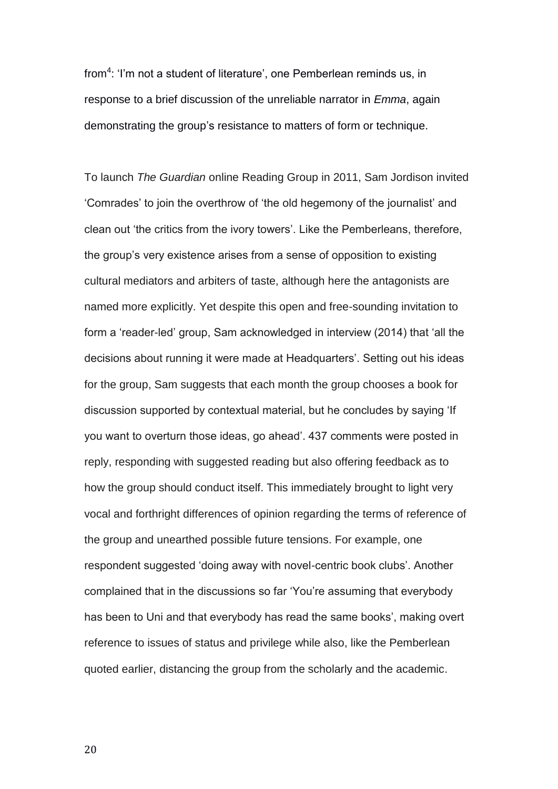from<sup>4</sup>: 'I'm not a student of literature', one Pemberlean reminds us, in response to a brief discussion of the unreliable narrator in *Emma*, again demonstrating the group's resistance to matters of form or technique.

To launch *The Guardian* online Reading Group in 2011, Sam Jordison invited 'Comrades' to join the overthrow of 'the old hegemony of the journalist' and clean out 'the critics from the ivory towers'. Like the Pemberleans, therefore, the group's very existence arises from a sense of opposition to existing cultural mediators and arbiters of taste, although here the antagonists are named more explicitly. Yet despite this open and free-sounding invitation to form a 'reader-led' group, Sam acknowledged in interview (2014) that 'all the decisions about running it were made at Headquarters'. Setting out his ideas for the group, Sam suggests that each month the group chooses a book for discussion supported by contextual material, but he concludes by saying 'If you want to overturn those ideas, go ahead'. 437 comments were posted in reply, responding with suggested reading but also offering feedback as to how the group should conduct itself. This immediately brought to light very vocal and forthright differences of opinion regarding the terms of reference of the group and unearthed possible future tensions. For example, one respondent suggested 'doing away with novel-centric book clubs'. Another complained that in the discussions so far 'You're assuming that everybody has been to Uni and that everybody has read the same books', making overt reference to issues of status and privilege while also, like the Pemberlean quoted earlier, distancing the group from the scholarly and the academic.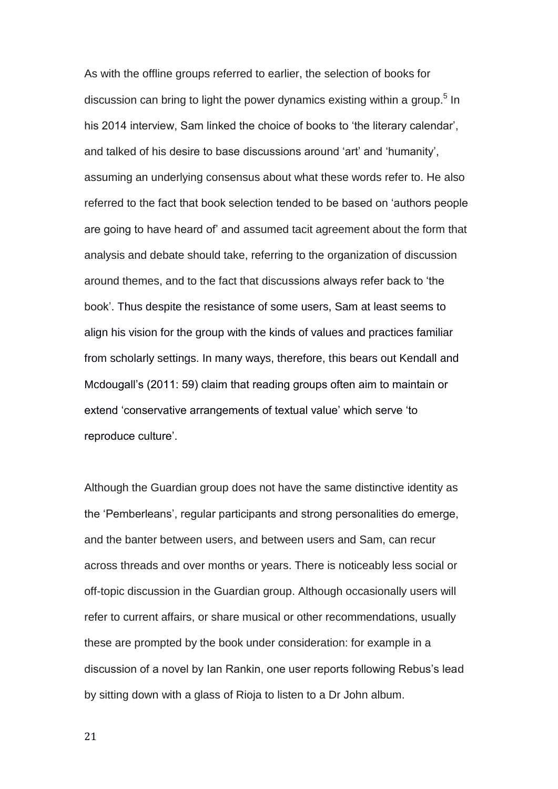As with the offline groups referred to earlier, the selection of books for discussion can bring to light the power dynamics existing within a group.<sup>5</sup> In his 2014 interview, Sam linked the choice of books to 'the literary calendar', and talked of his desire to base discussions around 'art' and 'humanity', assuming an underlying consensus about what these words refer to. He also referred to the fact that book selection tended to be based on 'authors people are going to have heard of' and assumed tacit agreement about the form that analysis and debate should take, referring to the organization of discussion around themes, and to the fact that discussions always refer back to 'the book'. Thus despite the resistance of some users, Sam at least seems to align his vision for the group with the kinds of values and practices familiar from scholarly settings. In many ways, therefore, this bears out Kendall and Mcdougall's (2011: 59) claim that reading groups often aim to maintain or extend 'conservative arrangements of textual value' which serve 'to reproduce culture'.

Although the Guardian group does not have the same distinctive identity as the 'Pemberleans', regular participants and strong personalities do emerge, and the banter between users, and between users and Sam, can recur across threads and over months or years. There is noticeably less social or off-topic discussion in the Guardian group. Although occasionally users will refer to current affairs, or share musical or other recommendations, usually these are prompted by the book under consideration: for example in a discussion of a novel by Ian Rankin, one user reports following Rebus's lead by sitting down with a glass of Rioja to listen to a Dr John album.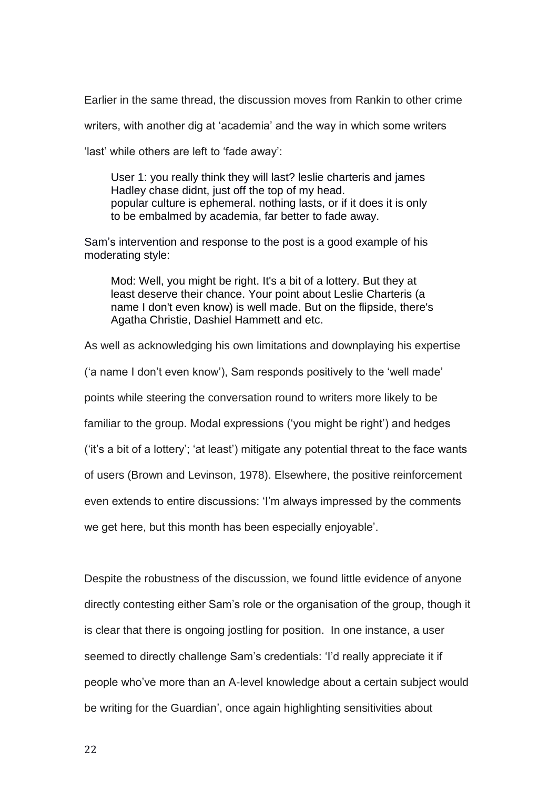Earlier in the same thread, the discussion moves from Rankin to other crime

writers, with another dig at 'academia' and the way in which some writers

'last' while others are left to 'fade away':

User 1: you really think they will last? leslie charteris and james Hadley chase didnt, just off the top of my head. popular culture is ephemeral. nothing lasts, or if it does it is only to be embalmed by academia, far better to fade away.

Sam's intervention and response to the post is a good example of his moderating style:

Mod: Well, you might be right. It's a bit of a lottery. But they at least deserve their chance. Your point about Leslie Charteris (a name I don't even know) is well made. But on the flipside, there's Agatha Christie, Dashiel Hammett and etc.

As well as acknowledging his own limitations and downplaying his expertise

('a name I don't even know'), Sam responds positively to the 'well made'

points while steering the conversation round to writers more likely to be

familiar to the group. Modal expressions ('you might be right') and hedges

('it's a bit of a lottery'; 'at least') mitigate any potential threat to the face wants

of users (Brown and Levinson, 1978). Elsewhere, the positive reinforcement

even extends to entire discussions: 'I'm always impressed by the comments

we get here, but this month has been especially enjoyable'.

Despite the robustness of the discussion, we found little evidence of anyone directly contesting either Sam's role or the organisation of the group, though it is clear that there is ongoing jostling for position. In one instance, a user seemed to directly challenge Sam's credentials: 'I'd really appreciate it if people who've more than an A-level knowledge about a certain subject would be writing for the Guardian', once again highlighting sensitivities about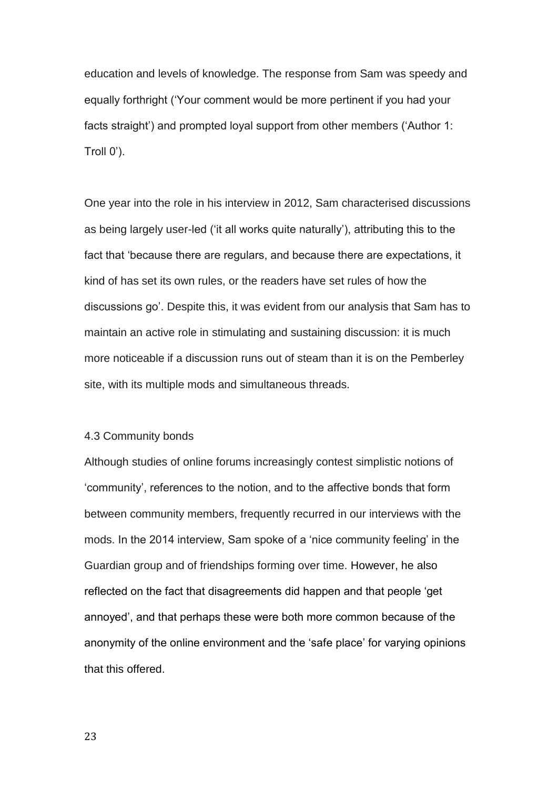education and levels of knowledge. The response from Sam was speedy and equally forthright ('Your comment would be more pertinent if you had your facts straight') and prompted loyal support from other members ('Author 1: Troll 0').

One year into the role in his interview in 2012, Sam characterised discussions as being largely user-led ('it all works quite naturally'), attributing this to the fact that 'because there are regulars, and because there are expectations, it kind of has set its own rules, or the readers have set rules of how the discussions go'. Despite this, it was evident from our analysis that Sam has to maintain an active role in stimulating and sustaining discussion: it is much more noticeable if a discussion runs out of steam than it is on the Pemberley site, with its multiple mods and simultaneous threads.

#### 4.3 Community bonds

Although studies of online forums increasingly contest simplistic notions of 'community', references to the notion, and to the affective bonds that form between community members, frequently recurred in our interviews with the mods. In the 2014 interview, Sam spoke of a 'nice community feeling' in the Guardian group and of friendships forming over time. However, he also reflected on the fact that disagreements did happen and that people 'get annoyed', and that perhaps these were both more common because of the anonymity of the online environment and the 'safe place' for varying opinions that this offered.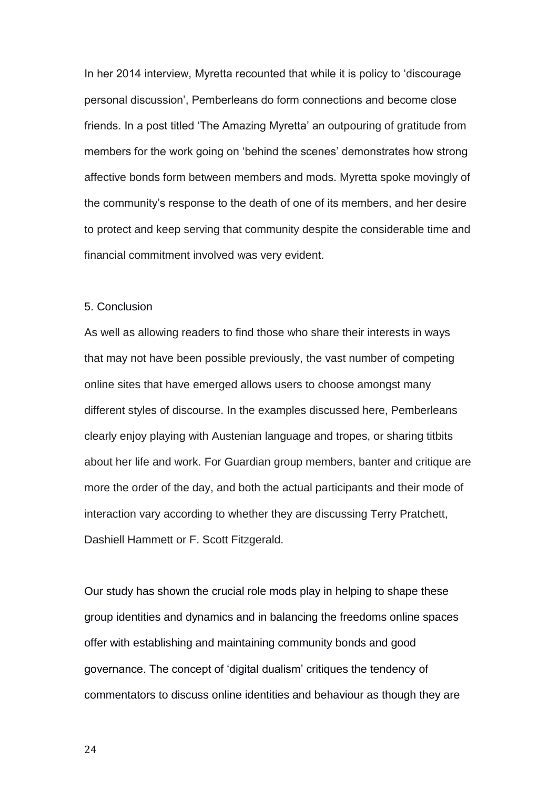In her 2014 interview, Myretta recounted that while it is policy to 'discourage personal discussion', Pemberleans do form connections and become close friends. In a post titled 'The Amazing Myretta' an outpouring of gratitude from members for the work going on 'behind the scenes' demonstrates how strong affective bonds form between members and mods. Myretta spoke movingly of the community's response to the death of one of its members, and her desire to protect and keep serving that community despite the considerable time and financial commitment involved was very evident.

## 5. Conclusion

As well as allowing readers to find those who share their interests in ways that may not have been possible previously, the vast number of competing online sites that have emerged allows users to choose amongst many different styles of discourse. In the examples discussed here, Pemberleans clearly enjoy playing with Austenian language and tropes, or sharing titbits about her life and work. For Guardian group members, banter and critique are more the order of the day, and both the actual participants and their mode of interaction vary according to whether they are discussing Terry Pratchett, Dashiell Hammett or F. Scott Fitzgerald.

Our study has shown the crucial role mods play in helping to shape these group identities and dynamics and in balancing the freedoms online spaces offer with establishing and maintaining community bonds and good governance. The concept of 'digital dualism' critiques the tendency of commentators to discuss online identities and behaviour as though they are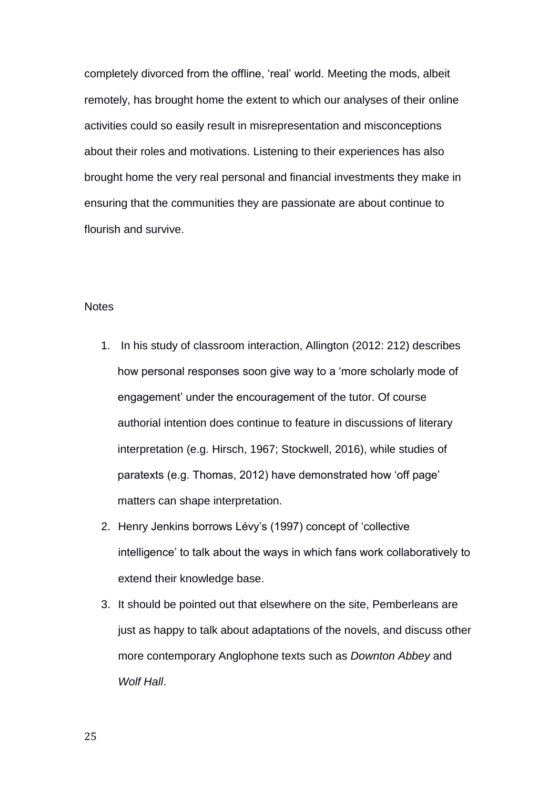completely divorced from the offline, 'real' world. Meeting the mods, albeit remotely, has brought home the extent to which our analyses of their online activities could so easily result in misrepresentation and misconceptions about their roles and motivations. Listening to their experiences has also brought home the very real personal and financial investments they make in ensuring that the communities they are passionate are about continue to flourish and survive.

## **Notes**

- 1. In his study of classroom interaction, Allington (2012: 212) describes how personal responses soon give way to a 'more scholarly mode of engagement' under the encouragement of the tutor. Of course authorial intention does continue to feature in discussions of literary interpretation (e.g. Hirsch, 1967; Stockwell, 2016), while studies of paratexts (e.g. Thomas, 2012) have demonstrated how 'off page' matters can shape interpretation.
- 2. Henry Jenkins borrows Lévy's (1997) concept of 'collective intelligence' to talk about the ways in which fans work collaboratively to extend their knowledge base.
- 3. It should be pointed out that elsewhere on the site, Pemberleans are just as happy to talk about adaptations of the novels, and discuss other more contemporary Anglophone texts such as *Downton Abbey* and *Wolf Hall*.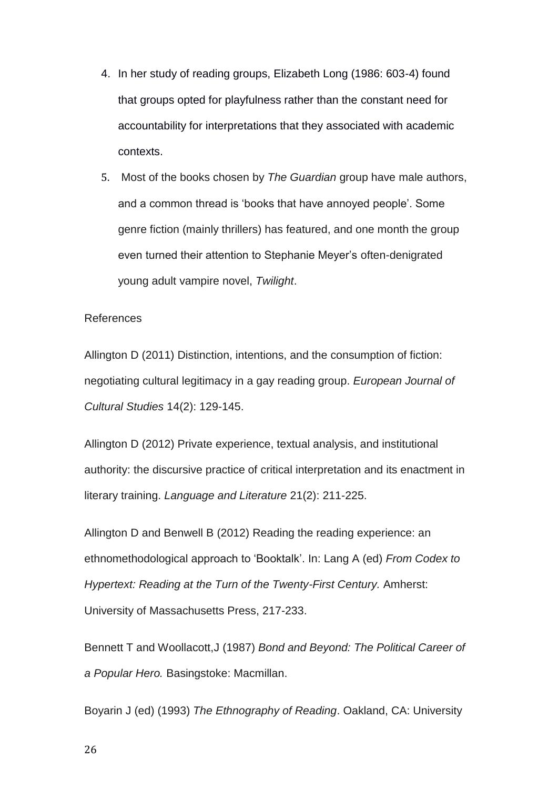- 4. In her study of reading groups, Elizabeth Long (1986: 603-4) found that groups opted for playfulness rather than the constant need for accountability for interpretations that they associated with academic contexts.
- 5. Most of the books chosen by *The Guardian* group have male authors, and a common thread is 'books that have annoyed people'. Some genre fiction (mainly thrillers) has featured, and one month the group even turned their attention to Stephanie Meyer's often-denigrated young adult vampire novel, *Twilight*.

#### References

Allington D (2011) Distinction, intentions, and the consumption of fiction: negotiating cultural legitimacy in a gay reading group. *European Journal of Cultural Studies* 14(2): 129-145.

Allington D (2012) Private experience, textual analysis, and institutional authority: the discursive practice of critical interpretation and its enactment in literary training. *Language and Literature* 21(2): 211-225.

Allington D and Benwell B (2012) Reading the reading experience: an ethnomethodological approach to 'Booktalk'. In: Lang A (ed) *From Codex to Hypertext: Reading at the Turn of the Twenty-First Century.* Amherst: University of Massachusetts Press, 217-233.

Bennett T and Woollacott,J (1987) *Bond and Beyond: The Political Career of a Popular Hero.* Basingstoke: Macmillan.

Boyarin J (ed) (1993) *The Ethnography of Reading*. Oakland, CA: University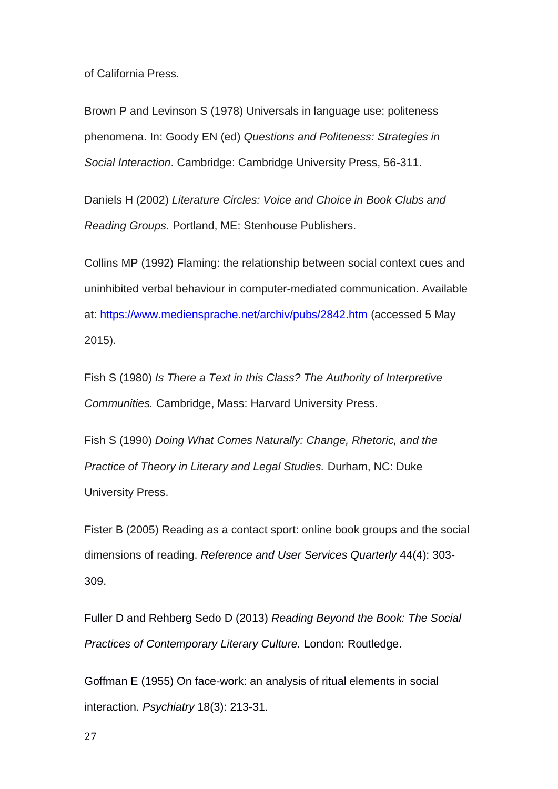of California Press.

Brown P and Levinson S (1978) Universals in language use: politeness phenomena. In: Goody EN (ed) *Questions and Politeness: Strategies in Social Interaction*. Cambridge: Cambridge University Press, 56-311.

Daniels H (2002) *Literature Circles: Voice and Choice in Book Clubs and Reading Groups.* Portland, ME: Stenhouse Publishers.

Collins MP (1992) Flaming: the relationship between social context cues and uninhibited verbal behaviour in computer-mediated communication. Available at: <https://www.mediensprache.net/archiv/pubs/2842.htm> (accessed 5 May 2015).

Fish S (1980) *Is There a Text in this Class? The Authority of Interpretive Communities.* Cambridge, Mass: Harvard University Press.

Fish S (1990) *Doing What Comes Naturally: Change, Rhetoric, and the Practice of Theory in Literary and Legal Studies.* Durham, NC: Duke University Press.

Fister B (2005) Reading as a contact sport: online book groups and the social dimensions of reading. *Reference and User Services Quarterly* 44(4): 303- 309.

Fuller D and Rehberg Sedo D (2013) *Reading Beyond the Book: The Social Practices of Contemporary Literary Culture.* London: Routledge.

Goffman E (1955) On face-work: an analysis of ritual elements in social interaction. *Psychiatry* 18(3): 213-31.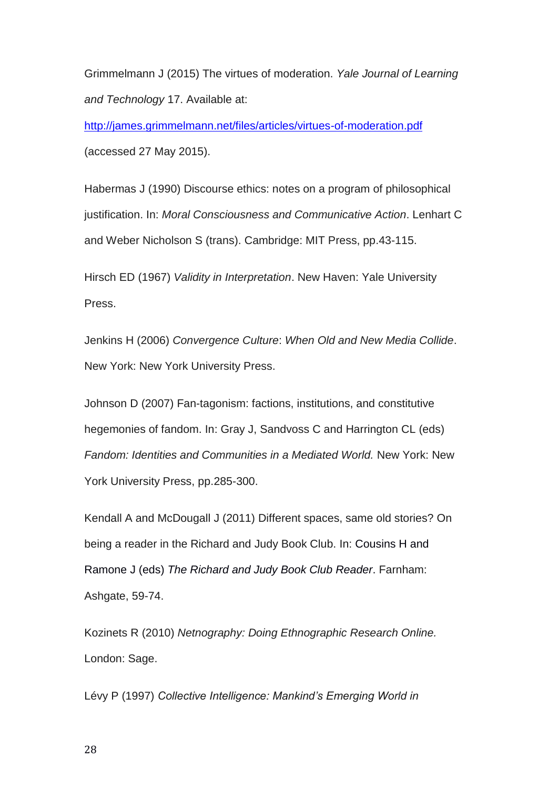Grimmelmann J (2015) The virtues of moderation. *Yale Journal of Learning and Technology* 17. Available at:

<http://james.grimmelmann.net/files/articles/virtues-of-moderation.pdf> (accessed 27 May 2015).

Habermas J (1990) Discourse ethics: notes on a program of philosophical justification. In: *Moral Consciousness and Communicative Action*. Lenhart C and Weber Nicholson S (trans). Cambridge: MIT Press, pp.43-115.

Hirsch ED (1967) *Validity in Interpretation*. New Haven: Yale University Press.

Jenkins H (2006) *Convergence Culture*: *When Old and New Media Collide*. New York: New York University Press.

Johnson D (2007) Fan-tagonism: factions, institutions, and constitutive hegemonies of fandom. In: Gray J, Sandvoss C and Harrington CL (eds) *Fandom: Identities and Communities in a Mediated World.* New York: New York University Press, pp.285-300.

Kendall A and McDougall J (2011) Different spaces, same old stories? On being a reader in the Richard and Judy Book Club. In: Cousins H and Ramone J (eds) *The Richard and Judy Book Club Reader*. Farnham: Ashgate, 59-74.

Kozinets R (2010) *Netnography: Doing Ethnographic Research Online.*  London: Sage.

Lévy P (1997) *Collective Intelligence: Mankind's Emerging World in*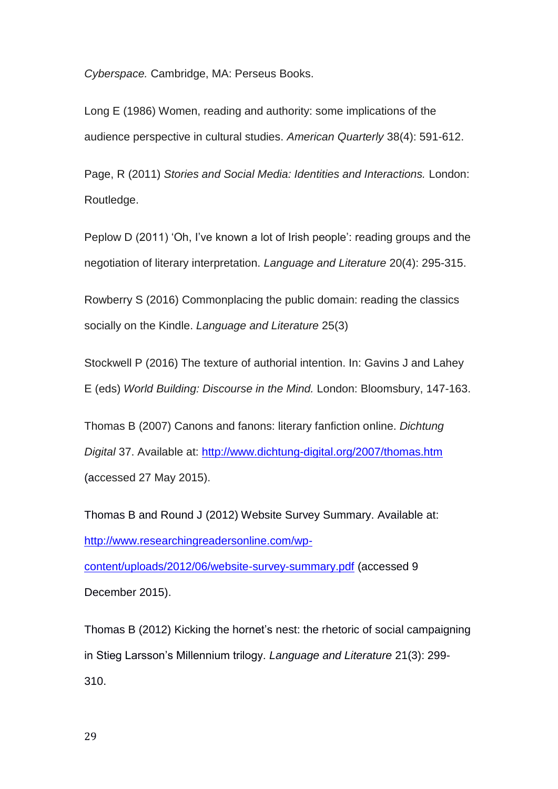*Cyberspace.* Cambridge, MA: Perseus Books.

Long E (1986) Women, reading and authority: some implications of the audience perspective in cultural studies. *American Quarterly* 38(4): 591-612.

Page, R (2011) *Stories and Social Media: Identities and Interactions.* London: Routledge.

Peplow D (2011) 'Oh, I've known a lot of Irish people': reading groups and the negotiation of literary interpretation. *Language and Literature* 20(4): 295-315.

Rowberry S (2016) Commonplacing the public domain: reading the classics socially on the Kindle. *Language and Literature* 25(3)

Stockwell P (2016) The texture of authorial intention. In: Gavins J and Lahey E (eds) *World Building: Discourse in the Mind.* London: Bloomsbury, 147-163.

Thomas B (2007) Canons and fanons: literary fanfiction online. *Dichtung Digital* 37. Available at:<http://www.dichtung-digital.org/2007/thomas.htm> (accessed 27 May 2015).

Thomas B and Round J (2012) Website Survey Summary. Available at: [http://www.researchingreadersonline.com/wp-](http://www.researchingreadersonline.com/wp-content/uploads/2012/06/website-survey-summary.pdf)

[content/uploads/2012/06/website-survey-summary.pdf](http://www.researchingreadersonline.com/wp-content/uploads/2012/06/website-survey-summary.pdf) (accessed 9

December 2015).

Thomas B (2012) Kicking the hornet's nest: the rhetoric of social campaigning in Stieg Larsson's Millennium trilogy. *Language and Literature* 21(3): 299- 310.